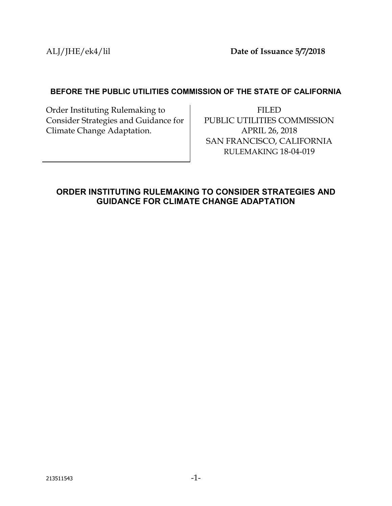ALJ/JHE/ek4/lil **Date of Issuance 5/7/2018**

#### **BEFORE THE PUBLIC UTILITIES COMMISSION OF THE STATE OF CALIFORNIA**

Order Instituting Rulemaking to Consider Strategies and Guidance for Climate Change Adaptation.

FILED PUBLIC UTILITIES COMMISSION APRIL 26, 2018 SAN FRANCISCO, CALIFORNIA RULEMAKING 18-04-019

## <span id="page-0-0"></span>**ORDER INSTITUTING RULEMAKING TO CONSIDER STRATEGIES AND GUIDANCE FOR CLIMATE CHANGE ADAPTATION**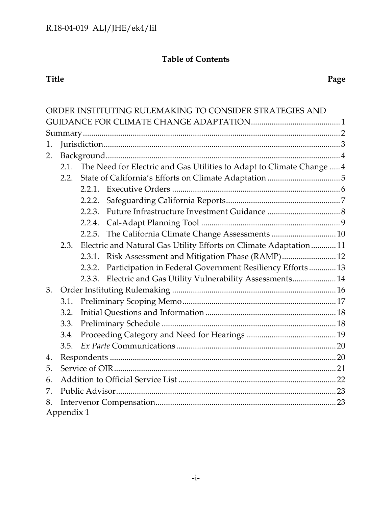# **Table of Contents**

#### **Title Page**

|      |                                                                               |                                                                   | ORDER INSTITUTING RULEMAKING TO CONSIDER STRATEGIES AND      |  |  |
|------|-------------------------------------------------------------------------------|-------------------------------------------------------------------|--------------------------------------------------------------|--|--|
|      |                                                                               |                                                                   |                                                              |  |  |
|      |                                                                               |                                                                   |                                                              |  |  |
| 1.   |                                                                               |                                                                   |                                                              |  |  |
| 2.   |                                                                               |                                                                   |                                                              |  |  |
|      | The Need for Electric and Gas Utilities to Adapt to Climate Change  4<br>2.1. |                                                                   |                                                              |  |  |
|      | 2.2.                                                                          |                                                                   |                                                              |  |  |
|      |                                                                               |                                                                   |                                                              |  |  |
|      |                                                                               | 2.2.2.                                                            |                                                              |  |  |
|      |                                                                               | 2.2.3.                                                            |                                                              |  |  |
|      |                                                                               |                                                                   |                                                              |  |  |
|      |                                                                               | 2.2.5.                                                            |                                                              |  |  |
| 2.3. |                                                                               | Electric and Natural Gas Utility Efforts on Climate Adaptation 11 |                                                              |  |  |
|      |                                                                               |                                                                   | 2.3.1. Risk Assessment and Mitigation Phase (RAMP) 12        |  |  |
|      |                                                                               | 2.3.2.                                                            | Participation in Federal Government Resiliency Efforts 13    |  |  |
|      |                                                                               |                                                                   | 2.3.3. Electric and Gas Utility Vulnerability Assessments 14 |  |  |
| 3.   |                                                                               |                                                                   |                                                              |  |  |
|      | 3.1.                                                                          |                                                                   |                                                              |  |  |
|      | 3.2.                                                                          |                                                                   |                                                              |  |  |
|      | 3.3.                                                                          |                                                                   |                                                              |  |  |
|      | 3.4.                                                                          |                                                                   |                                                              |  |  |
|      | 3.5.                                                                          |                                                                   |                                                              |  |  |
| 4.   |                                                                               |                                                                   |                                                              |  |  |
| 5.   |                                                                               |                                                                   |                                                              |  |  |
| 6.   |                                                                               |                                                                   |                                                              |  |  |
| 7.   |                                                                               |                                                                   |                                                              |  |  |
| 8.   |                                                                               |                                                                   |                                                              |  |  |
|      | Appendix 1                                                                    |                                                                   |                                                              |  |  |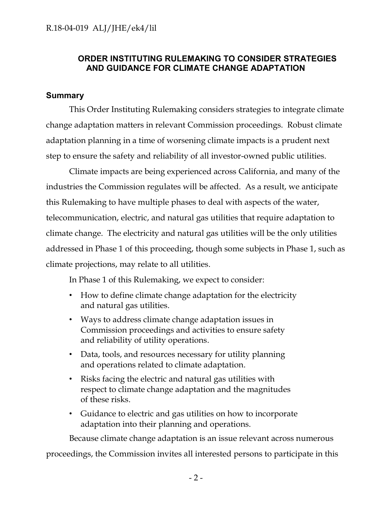## **ORDER INSTITUTING RULEMAKING TO CONSIDER STRATEGIES AND GUIDANCE FOR CLIMATE CHANGE ADAPTATION**

#### <span id="page-2-0"></span>**Summary**

This Order Instituting Rulemaking considers strategies to integrate climate change adaptation matters in relevant Commission proceedings. Robust climate adaptation planning in a time of worsening climate impacts is a prudent next step to ensure the safety and reliability of all investor-owned public utilities.

Climate impacts are being experienced across California, and many of the industries the Commission regulates will be affected. As a result, we anticipate this Rulemaking to have multiple phases to deal with aspects of the water, telecommunication, electric, and natural gas utilities that require adaptation to climate change. The electricity and natural gas utilities will be the only utilities addressed in Phase 1 of this proceeding, though some subjects in Phase 1, such as climate projections, may relate to all utilities.

In Phase 1 of this Rulemaking, we expect to consider:

- How to define climate change adaptation for the electricity and natural gas utilities.
- Ways to address climate change adaptation issues in Commission proceedings and activities to ensure safety and reliability of utility operations.
- Data, tools, and resources necessary for utility planning and operations related to climate adaptation.
- Risks facing the electric and natural gas utilities with respect to climate change adaptation and the magnitudes of these risks.
- Guidance to electric and gas utilities on how to incorporate adaptation into their planning and operations.

Because climate change adaptation is an issue relevant across numerous

proceedings, the Commission invites all interested persons to participate in this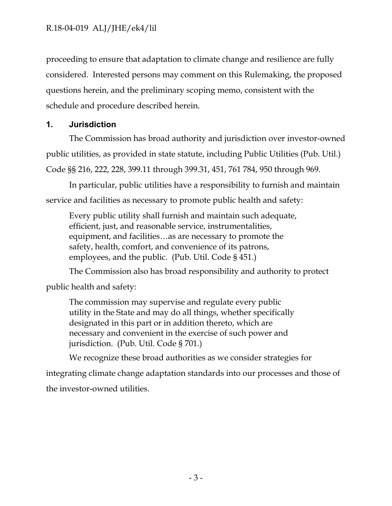proceeding to ensure that adaptation to climate change and resilience are fully considered. Interested persons may comment on this Rulemaking, the proposed questions herein, and the preliminary scoping memo, consistent with the schedule and procedure described herein.

## <span id="page-3-0"></span>**1. Jurisdiction**

The Commission has broad authority and jurisdiction over investor-owned public utilities, as provided in state statute, including Public Utilities (Pub. Util.) Code §§ 216, 222, 228, 399.11 through 399.31, 451, 761 784, 950 through 969.

In particular, public utilities have a responsibility to furnish and maintain service and facilities as necessary to promote public health and safety:

Every public utility shall furnish and maintain such adequate, efficient, just, and reasonable service, instrumentalities, equipment, and facilities…as are necessary to promote the safety, health, comfort, and convenience of its patrons, employees, and the public. (Pub. Util. Code § 451.)

The Commission also has broad responsibility and authority to protect

public health and safety:

The commission may supervise and regulate every public utility in the State and may do all things, whether specifically designated in this part or in addition thereto, which are necessary and convenient in the exercise of such power and jurisdiction. (Pub. Util. Code § 701.)

We recognize these broad authorities as we consider strategies for

integrating climate change adaptation standards into our processes and those of the investor-owned utilities.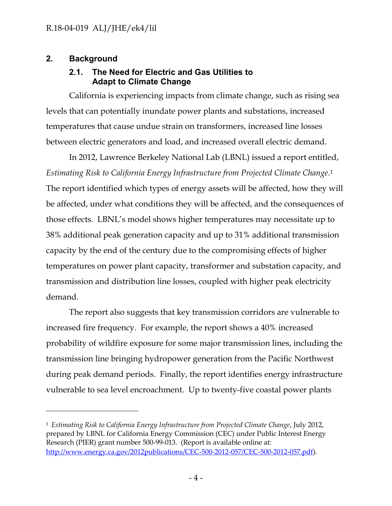## <span id="page-4-1"></span><span id="page-4-0"></span>**2. Background**

 $\overline{a}$ 

## **2.1. The Need for Electric and Gas Utilities to Adapt to Climate Change**

California is experiencing impacts from climate change, such as rising sea levels that can potentially inundate power plants and substations, increased temperatures that cause undue strain on transformers, increased line losses between electric generators and load, and increased overall electric demand.

In 2012, Lawrence Berkeley National Lab (LBNL) issued a report entitled, *Estimating Risk to California Energy Infrastructure from Projected Climate Change*. 1 The report identified which types of energy assets will be affected, how they will be affected, under what conditions they will be affected, and the consequences of those effects. LBNL's model shows higher temperatures may necessitate up to 38% additional peak generation capacity and up to 31% additional transmission capacity by the end of the century due to the compromising effects of higher temperatures on power plant capacity, transformer and substation capacity, and transmission and distribution line losses, coupled with higher peak electricity demand.

The report also suggests that key transmission corridors are vulnerable to increased fire frequency. For example, the report shows a 40% increased probability of wildfire exposure for some major transmission lines, including the transmission line bringing hydropower generation from the Pacific Northwest during peak demand periods. Finally, the report identifies energy infrastructure vulnerable to sea level encroachment. Up to twenty-five coastal power plants

<sup>1</sup> *Estimating Risk to California Energy Infrastructure from Projected Climate Change*, July 2012, prepared by LBNL for California Energy Commission (CEC) under Public Interest Energy Research (PIER) grant number 500-99-013. (Report is available online at: [http://www.energy.ca.gov/2012publications/CEC-500-2012-057/CEC-500-2012-057.pdf\)](http://www.energy.ca.gov/2012publications/CEC-500-2012-057/CEC-500-2012-057.pdf).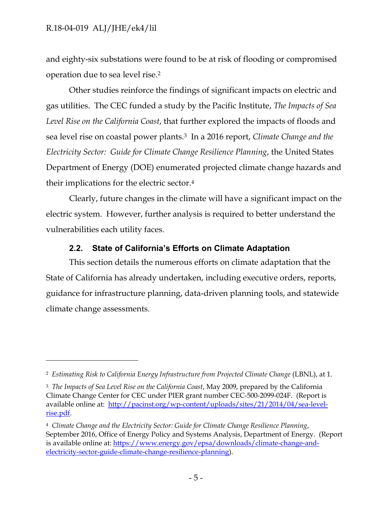$\overline{a}$ 

and eighty-six substations were found to be at risk of flooding or compromised operation due to sea level rise.<sup>2</sup>

Other studies reinforce the findings of significant impacts on electric and gas utilities. The CEC funded a study by the Pacific Institute, *The Impacts of Sea Level Rise on the California Coast*, that further explored the impacts of floods and sea level rise on coastal power plants.<sup>3</sup> In a 2016 report, *Climate Change and the Electricity Sector: Guide for Climate Change Resilience Planning*, the United States Department of Energy (DOE) enumerated projected climate change hazards and their implications for the electric sector. 4

Clearly, future changes in the climate will have a significant impact on the electric system. However, further analysis is required to better understand the vulnerabilities each utility faces.

## **2.2. State of California's Efforts on Climate Adaptation**

<span id="page-5-0"></span>This section details the numerous efforts on climate adaptation that the State of California has already undertaken, including executive orders, reports, guidance for infrastructure planning, data-driven planning tools, and statewide climate change assessments.

<sup>2</sup> *Estimating Risk to California Energy Infrastructure from Projected Climate Change* (LBNL), at 1.

<sup>3</sup> *The Impacts of Sea Level Rise on the California Coast*, May 2009, prepared by the California Climate Change Center for CEC under PIER grant number CEC-500-2099-024F. (Report is available online at: [http://pacinst.org/wp-content/uploads/sites/21/2014/04/sea-level](http://pacinst.org/wp-content/uploads/sites/21/2014/04/sea-level-rise.pdf)[rise.pdf.](http://pacinst.org/wp-content/uploads/sites/21/2014/04/sea-level-rise.pdf)

<sup>4</sup> *Climate Change and the Electricity Sector: Guide for Climate Change Resilience Planning*, September 2016, Office of Energy Policy and Systems Analysis, Department of Energy. (Report is available online at: [https://www.energy.gov/epsa/downloads/climate-change-and](https://www.energy.gov/epsa/downloads/climate-change-and-electricity-sector-guide-climate-change-resilience-planning)[electricity-sector-guide-climate-change-resilience-planning\)](https://www.energy.gov/epsa/downloads/climate-change-and-electricity-sector-guide-climate-change-resilience-planning).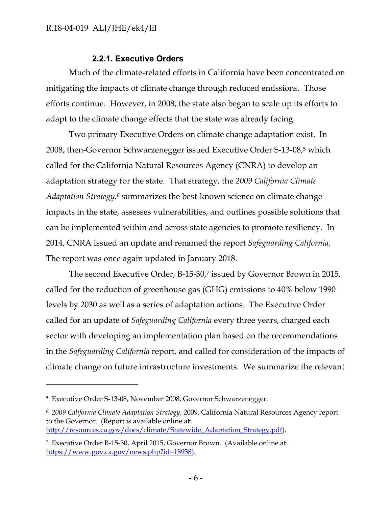### **2.2.1. Executive Orders**

<span id="page-6-0"></span>Much of the climate-related efforts in California have been concentrated on mitigating the impacts of climate change through reduced emissions. Those efforts continue. However, in 2008, the state also began to scale up its efforts to adapt to the climate change effects that the state was already facing.

Two primary Executive Orders on climate change adaptation exist. In 2008, then-Governor Schwarzenegger issued Executive Order S-13-08, <sup>5</sup> which called for the California Natural Resources Agency (CNRA) to develop an adaptation strategy for the state. That strategy, the *2009 California Climate Adaptation Strategy, <sup>6</sup>* summarizes the best-known science on climate change impacts in the state, assesses vulnerabilities, and outlines possible solutions that can be implemented within and across state agencies to promote resiliency. In 2014, CNRA issued an update and renamed the report *Safeguarding California*. The report was once again updated in January 2018.

The second Executive Order, B-15-30, <sup>7</sup> issued by Governor Brown in 2015, called for the reduction of greenhouse gas (GHG) emissions to 40% below 1990 levels by 2030 as well as a series of adaptation actions. The Executive Order called for an update of *Safeguarding California* every three years, charged each sector with developing an implementation plan based on the recommendations in the *Safeguarding California* report, and called for consideration of the impacts of climate change on future infrastructure investments. We summarize the relevant

 $\overline{a}$ 

<sup>5</sup> Executive Order S-13-08, November 2008, Governor Schwarzenegger.

<sup>6</sup> *2009 California Climate Adaptation Strategy*, 2009, California Natural Resources Agency report to the Governor. (Report is available online at: [http://resources.ca.gov/docs/climate/Statewide\\_Adaptation\\_Strategy.pdf\)](http://resources.ca.gov/docs/climate/Statewide_Adaptation_Strategy.pdf).

<sup>7</sup> Executive Order B-15-30, April 2015, Governor Brown. (Available online at: [https://www.gov.ca.gov/news.php?id=18938\)](https://www.gov.ca.gov/news.php?id=18938).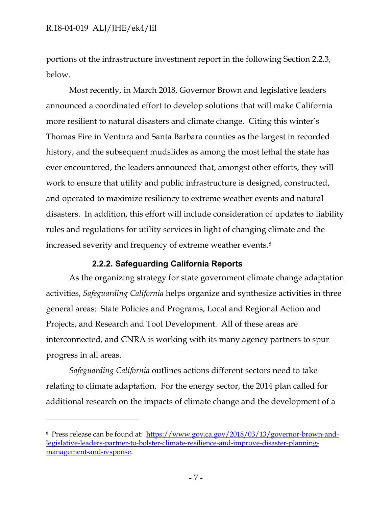$\overline{a}$ 

portions of the infrastructure investment report in the following Section 2.2.3, below.

Most recently, in March 2018, Governor Brown and legislative leaders announced a coordinated effort to develop solutions that will make California more resilient to natural disasters and climate change. Citing this winter's Thomas Fire in Ventura and Santa Barbara counties as the largest in recorded history, and the subsequent mudslides as among the most lethal the state has ever encountered, the leaders announced that, amongst other efforts, they will work to ensure that utility and public infrastructure is designed, constructed, and operated to maximize resiliency to extreme weather events and natural disasters. In addition, this effort will include consideration of updates to liability rules and regulations for utility services in light of changing climate and the increased severity and frequency of extreme weather events. 8

### **2.2.2. Safeguarding California Reports**

<span id="page-7-0"></span>As the organizing strategy for state government climate change adaptation activities, *Safeguarding California* helps organize and synthesize activities in three general areas: State Policies and Programs, Local and Regional Action and Projects, and Research and Tool Development. All of these areas are interconnected, and CNRA is working with its many agency partners to spur progress in all areas.

*Safeguarding California* outlines actions different sectors need to take relating to climate adaptation. For the energy sector, the 2014 plan called for additional research on the impacts of climate change and the development of a

<sup>8</sup> Press release can be found at: [https://www.gov.ca.gov/2018/03/13/governor-brown-and](https://www.gov.ca.gov/2018/03/13/governor-brown-and-legislative-leaders-partner-to-bolster-climate-resilience-and-improve-disaster-planning-management-and-response)[legislative-leaders-partner-to-bolster-climate-resilience-and-improve-disaster-planning](https://www.gov.ca.gov/2018/03/13/governor-brown-and-legislative-leaders-partner-to-bolster-climate-resilience-and-improve-disaster-planning-management-and-response)[management-and-response.](https://www.gov.ca.gov/2018/03/13/governor-brown-and-legislative-leaders-partner-to-bolster-climate-resilience-and-improve-disaster-planning-management-and-response)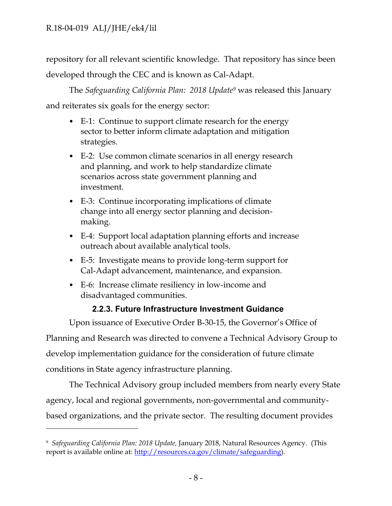$\overline{a}$ 

repository for all relevant scientific knowledge. That repository has since been developed through the CEC and is known as Cal-Adapt.

The *Safeguarding California Plan: 2018 Update<sup>9</sup>* was released this January and reiterates six goals for the energy sector:

- E-1: Continue to support climate research for the energy sector to better inform climate adaptation and mitigation strategies.
- E-2: Use common climate scenarios in all energy research and planning, and work to help standardize climate scenarios across state government planning and investment.
- E-3: Continue incorporating implications of climate change into all energy sector planning and decisionmaking.
- E-4: Support local adaptation planning efforts and increase outreach about available analytical tools.
- E-5: Investigate means to provide long-term support for Cal-Adapt advancement, maintenance, and expansion.
- E-6: Increase climate resiliency in low-income and disadvantaged communities.

## **2.2.3. Future Infrastructure Investment Guidance**

<span id="page-8-0"></span>Upon issuance of Executive Order B-30-15, the Governor's Office of Planning and Research was directed to convene a Technical Advisory Group to develop implementation guidance for the consideration of future climate conditions in State agency infrastructure planning.

The Technical Advisory group included members from nearly every State agency, local and regional governments, non-governmental and communitybased organizations, and the private sector. The resulting document provides

<sup>9</sup> *Safeguarding California Plan: 2018 Update,* January 2018, Natural Resources Agency. (This report is available online at: [http://resources.ca.gov/climate/safeguarding\)](http://resources.ca.gov/climate/safeguarding).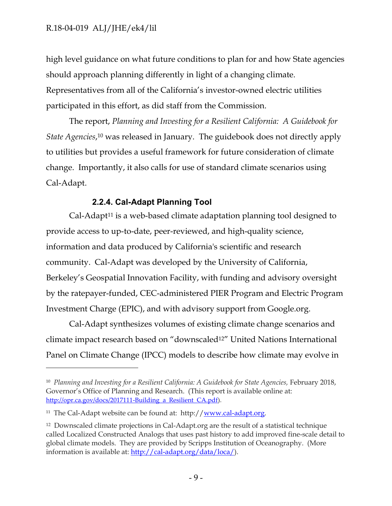high level guidance on what future conditions to plan for and how State agencies should approach planning differently in light of a changing climate. Representatives from all of the California's investor-owned electric utilities participated in this effort, as did staff from the Commission.

The report, *Planning and Investing for a Resilient California: A Guidebook for State Agencies*, <sup>10</sup> was released in January. The guidebook does not directly apply to utilities but provides a useful framework for future consideration of climate change. Importantly, it also calls for use of standard climate scenarios using Cal-Adapt.

## **2.2.4. Cal-Adapt Planning Tool**

<span id="page-9-0"></span> $Cal-Adapt<sup>11</sup>$  is a web-based climate adaptation planning tool designed to provide access to up-to-date, peer-reviewed, and high-quality science, information and data produced by California's scientific and research community. Cal-Adapt was developed by the University of California, Berkeley's Geospatial Innovation Facility, with funding and advisory oversight by the ratepayer-funded, CEC-administered PIER Program and Electric Program Investment Charge (EPIC), and with advisory support from Google.org.

Cal-Adapt synthesizes volumes of existing climate change scenarios and climate impact research based on "downscaled12" United Nations International Panel on Climate Change (IPCC) models to describe how climate may evolve in

 $\overline{a}$ 

<sup>&</sup>lt;sup>10</sup> Planning and Investing for a Resilient California: A Guidebook for State Agencies, February 2018, Governor's Office of Planning and Research. (This report is available online at: http://opr.ca.gov/docs/2017111-Building a Resilient CA.pdf).

<sup>&</sup>lt;sup>11</sup> The Cal-Adapt website can be found at: http:/[/www.cal-adapt.org.](http://www.cal-adapt.org/)

<sup>12</sup> Downscaled climate projections in Cal-Adapt.org are the result of a statistical technique called [Localized Constructed Analogs t](http://loca.ucsd.edu/)hat uses past history to add improved fine-scale detail to global climate models. They are provided by Scripps Institution of Oceanography. (More information is available at: [http://cal-adapt.org/data/loca/\)](http://cal-adapt.org/data/loca/).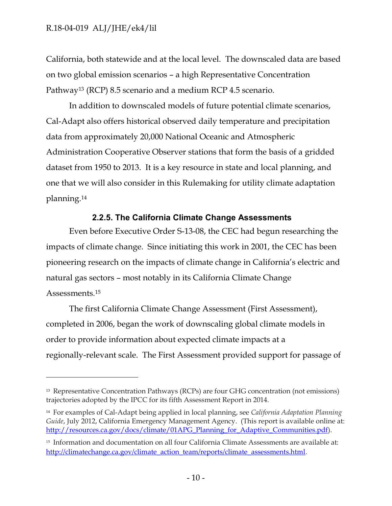$\overline{a}$ 

California, both statewide and at the local level. The downscaled data are based on two global emission scenarios – a high Representative Concentration Pathway<sup>13</sup> (RCP) 8.5 scenario and a medium RCP 4.5 scenario.

In addition to downscaled models of future potential climate scenarios, Cal-Adapt also offers historical observed daily temperature and precipitation data from approximately 20,000 National Oceanic and Atmospheric Administration Cooperative Observer stations that form the basis of a gridded dataset from 1950 to 2013. It is a key resource in state and local planning, and one that we will also consider in this Rulemaking for utility climate adaptation planning.<sup>14</sup>

## **2.2.5. The California Climate Change Assessments**

<span id="page-10-0"></span>Even before Executive Order S-13-08, the CEC had begun researching the impacts of climate change. Since initiating this work in 2001, the CEC has been pioneering research on the impacts of climate change in California's electric and natural gas sectors – most notably in its California Climate Change Assessments.<sup>15</sup>

The first California Climate Change Assessment (First Assessment), completed in 2006, began the work of downscaling global climate models in order to provide information about expected climate impacts at a regionally-relevant scale. The First Assessment provided support for passage of

<sup>13</sup> Representative Concentration Pathways (RCPs) are four GHG concentration (not emissions) trajectories adopted by the IPCC for its fifth Assessment Report in 2014.

<sup>14</sup> For examples of Cal-Adapt being applied in local planning, see *California Adaptation Planning Guide*, July 2012, California Emergency Management Agency. (This report is available online at: [http://resources.ca.gov/docs/climate/01APG\\_Planning\\_for\\_Adaptive\\_Communities.pdf\)](http://resources.ca.gov/docs/climate/01APG_Planning_for_Adaptive_Communities.pdff).

<sup>&</sup>lt;sup>15</sup> Information and documentation on all four California Climate Assessments are available at: [http://climatechange.ca.gov/climate\\_action\\_team/reports/climate\\_assessments.html](http://climatechange.ca.gov/climate_action_team/reports/climate_assessments.html).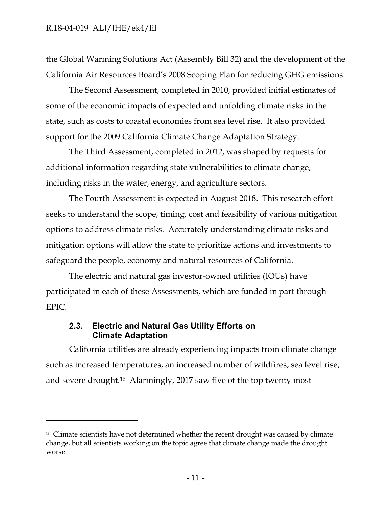$\overline{a}$ 

the Global Warming Solutions Act (Assembly Bill 32) and the development of the California Air Resources Board's 2008 Scoping Plan for reducing GHG emissions.

The Second Assessment, completed in 2010, provided initial estimates of some of the economic impacts of expected and unfolding climate risks in the state, such as costs to coastal economies from sea level rise. It also provided support for the 2009 California Climate Change Adaptation Strategy.

The Third Assessment, completed in 2012, was shaped by requests for additional information regarding state vulnerabilities to climate change, including risks in the water, energy, and agriculture sectors.

The Fourth Assessment is expected in August 2018. This research effort seeks to understand the scope, timing, cost and feasibility of various mitigation options to address climate risks. Accurately understanding climate risks and mitigation options will allow the state to prioritize actions and investments to safeguard the people, economy and natural resources of California.

The electric and natural gas investor-owned utilities (IOUs) have participated in each of these Assessments, which are funded in part through EPIC.

## <span id="page-11-0"></span>**2.3. Electric and Natural Gas Utility Efforts on Climate Adaptation**

California utilities are already experiencing impacts from climate change such as increased temperatures, an increased number of wildfires, sea level rise, and severe drought. <sup>16</sup> Alarmingly, 2017 saw five of the top twenty most

<sup>&</sup>lt;sup>16</sup> Climate scientists have not determined whether the recent drought was caused by climate change, but all scientists working on the topic agree that climate change made the drought worse.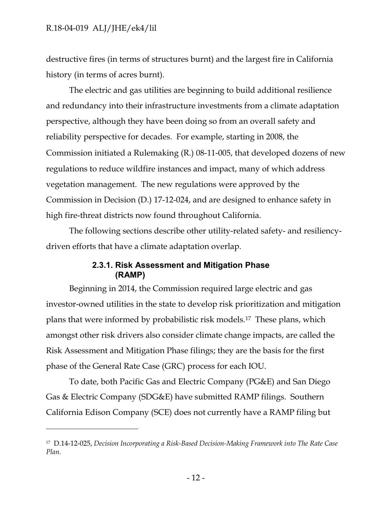$\overline{a}$ 

destructive fires (in terms of structures burnt) and the largest fire in California history (in terms of acres burnt).

The electric and gas utilities are beginning to build additional resilience and redundancy into their infrastructure investments from a climate adaptation perspective, although they have been doing so from an overall safety and reliability perspective for decades. For example, starting in 2008, the Commission initiated a Rulemaking (R.) [08-11-005](https://apps.cpuc.ca.gov/apex/f?p=401:56:0::NO:RP,57,RIR:P5_PROCEEDING_SELECT:R0811005), that developed dozens of new regulations to reduce wildfire instances and impact, many of which address vegetation management. The new regulations were approved by the Commission in Decision (D.) 17-12-024, and are designed to enhance safety in high fire-threat districts now found throughout California.

The following sections describe other utility-related safety- and resiliencydriven efforts that have a climate adaptation overlap.

#### **2.3.1. Risk Assessment and Mitigation Phase (RAMP)**

<span id="page-12-0"></span>Beginning in 2014, the Commission required large electric and gas investor-owned utilities in the state to develop risk prioritization and mitigation plans that were informed by probabilistic risk models.<sup>17</sup> These plans, which amongst other risk drivers also consider climate change impacts, are called the Risk Assessment and Mitigation Phase filings; they are the basis for the first phase of the General Rate Case (GRC) process for each IOU.

To date, both Pacific Gas and Electric Company (PG&E) and San Diego Gas & Electric Company (SDG&E) have submitted RAMP filings. Southern California Edison Company (SCE) does not currently have a RAMP filing but

<sup>17</sup> D.14-12-025, *Decision Incorporating a Risk-Based Decision-Making Framework into The Rate Case Plan.*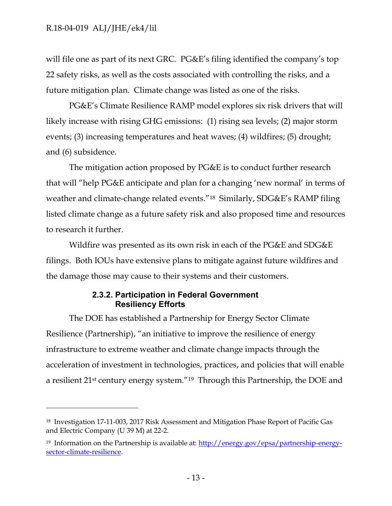$\overline{a}$ 

will file one as part of its next GRC. PG&E's filing identified the company's top 22 safety risks, as well as the costs associated with controlling the risks, and a future mitigation plan. Climate change was listed as one of the risks.

PG&E's Climate Resilience RAMP model explores six risk drivers that will likely increase with rising GHG emissions: (1) rising sea levels; (2) major storm events; (3) increasing temperatures and heat waves; (4) wildfires; (5) drought; and (6) subsidence.

The mitigation action proposed by PG&E is to conduct further research that will "help PG&E anticipate and plan for a changing 'new normal' in terms of weather and climate-change related events."<sup>18</sup> Similarly, SDG&E's RAMP filing listed climate change as a future safety risk and also proposed time and resources to research it further.

Wildfire was presented as its own risk in each of the PG&E and SDG&E filings. Both IOUs have extensive plans to mitigate against future wildfires and the damage those may cause to their systems and their customers.

## **2.3.2. Participation in Federal Government Resiliency Efforts**

<span id="page-13-0"></span>The DOE has established a Partnership for Energy Sector Climate Resilience (Partnership), "an initiative to improve the resilience of energy infrastructure to extreme weather and climate change impacts through the acceleration of investment in technologies, practices, and policies that will enable a resilient 21st century energy system."<sup>19</sup> Through this Partnership, the DOE and

<sup>18</sup> Investigation 17-11-003, 2017 Risk Assessment and Mitigation Phase Report of Pacific Gas and Electric Company (U 39 M) at 22-2.

<sup>&</sup>lt;sup>19</sup> Information on the Partnership is available at:  $\frac{http://energy.gov/epsa/partnership-energy-}$ [sector-climate-resilience.](http://energy.gov/epsa/partnership-energy-sector-climate-resilience)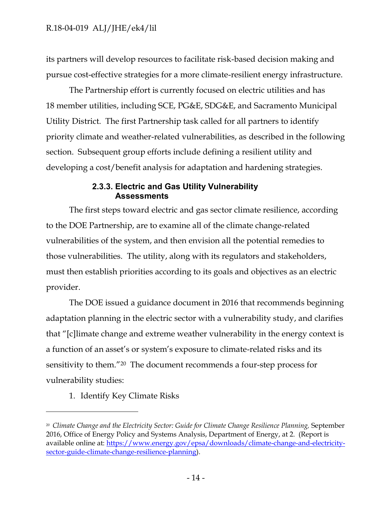its partners will develop resources to facilitate risk-based decision making and pursue cost-effective strategies for a more climate-resilient energy infrastructure.

The Partnership effort is currently focused on electric utilities and has 18 member utilities, including SCE, PG&E, SDG&E, and Sacramento Municipal Utility District. The first Partnership task called for all partners to identify priority climate and weather-related vulnerabilities, as described in the following section. Subsequent group efforts include defining a resilient utility and developing a cost/benefit analysis for adaptation and hardening strategies.

### **2.3.3. Electric and Gas Utility Vulnerability Assessments**

<span id="page-14-0"></span>The first steps toward electric and gas sector climate resilience, according to the DOE Partnership, are to examine all of the climate change-related vulnerabilities of the system, and then envision all the potential remedies to those vulnerabilities. The utility, along with its regulators and stakeholders, must then establish priorities according to its goals and objectives as an electric provider.

The DOE issued a guidance document in 2016 that recommends beginning adaptation planning in the electric sector with a vulnerability study, and clarifies that "[c]limate change and extreme weather vulnerability in the energy context is a function of an asset's or system's exposure to climate-related risks and its sensitivity to them."<sup>20</sup> The document recommends a four-step process for vulnerability studies:

1. Identify Key Climate Risks

 $\overline{a}$ 

<sup>&</sup>lt;sup>20</sup> Climate Change and the Electricity Sector: Guide for Climate Change Resilience Planning, September 2016, Office of Energy Policy and Systems Analysis, Department of Energy, at 2. (Report is available online at: [https://www.energy.gov/epsa/downloads/climate-change-and-electricity](https://www.energy.gov/epsa/downloads/climate-change-and-electricity-sector-guide-climate-change-resilience-planning)[sector-guide-climate-change-resilience-planning\)](https://www.energy.gov/epsa/downloads/climate-change-and-electricity-sector-guide-climate-change-resilience-planning).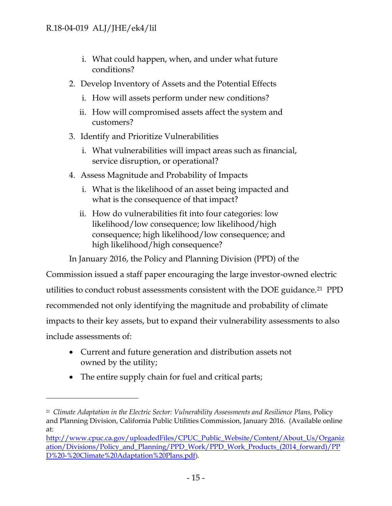- i. What could happen, when, and under what future conditions?
- 2. Develop Inventory of Assets and the Potential Effects
	- i. How will assets perform under new conditions?
	- ii. How will compromised assets affect the system and customers?
- 3. Identify and Prioritize Vulnerabilities
	- i. What vulnerabilities will impact areas such as financial, service disruption, or operational?
- 4. Assess Magnitude and Probability of Impacts
	- i. What is the likelihood of an asset being impacted and what is the consequence of that impact?
	- ii. How do vulnerabilities fit into four categories: low likelihood/low consequence; low likelihood/high consequence; high likelihood/low consequence; and high likelihood/high consequence?

In January 2016, the Policy and Planning Division (PPD) of the

Commission issued a staff paper encouraging the large investor-owned electric utilities to conduct robust assessments consistent with the DOE guidance.<sup>21</sup> PPD recommended not only identifying the magnitude and probability of climate impacts to their key assets, but to expand their vulnerability assessments to also include assessments of:

- Current and future generation and distribution assets not owned by the utility;
- The entire supply chain for fuel and critical parts;

 $\overline{a}$ 

<sup>&</sup>lt;sup>21</sup> Climate Adaptation in the Electric Sector: Vulnerability Assessments and Resilience Plans, Policy and Planning Division, California Public Utilities Commission, January 2016. (Available online at:

[http://www.cpuc.ca.gov/uploadedFiles/CPUC\\_Public\\_Website/Content/About\\_Us/Organiz](http://www.cpuc.ca.gov/uploadedFiles/CPUC_Public_Website/Content/About_Us/Organization/Divisions/Policy_and_Planning/PPD_Work/PPD_Work_Products_(2014_forward)/PPD%20-%20Climate%20Adaptation%20Plans.pdf) [ation/Divisions/Policy\\_and\\_Planning/PPD\\_Work/PPD\\_Work\\_Products\\_\(2014\\_forward\)/PP](http://www.cpuc.ca.gov/uploadedFiles/CPUC_Public_Website/Content/About_Us/Organization/Divisions/Policy_and_Planning/PPD_Work/PPD_Work_Products_(2014_forward)/PPD%20-%20Climate%20Adaptation%20Plans.pdf) [D%20-%20Climate%20Adaptation%20Plans.pdf](http://www.cpuc.ca.gov/uploadedFiles/CPUC_Public_Website/Content/About_Us/Organization/Divisions/Policy_and_Planning/PPD_Work/PPD_Work_Products_(2014_forward)/PPD%20-%20Climate%20Adaptation%20Plans.pdf)).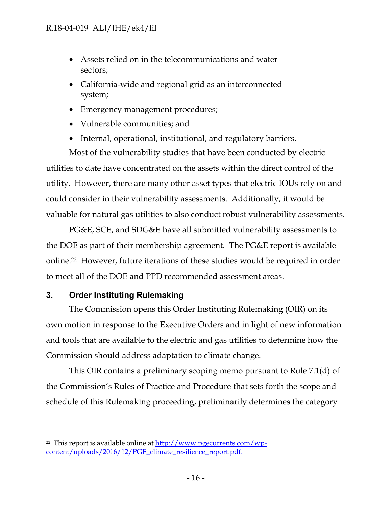- Assets relied on in the telecommunications and water sectors;
- California-wide and regional grid as an interconnected system;
- Emergency management procedures;
- Vulnerable communities; and
- Internal, operational, institutional, and regulatory barriers.

Most of the vulnerability studies that have been conducted by electric utilities to date have concentrated on the assets within the direct control of the utility. However, there are many other asset types that electric IOUs rely on and could consider in their vulnerability assessments. Additionally, it would be valuable for natural gas utilities to also conduct robust vulnerability assessments.

PG&E, SCE, and SDG&E have all submitted vulnerability assessments to the DOE as part of their membership agreement. The PG&E report is available online.<sup>22</sup> However, future iterations of these studies would be required in order to meet all of the DOE and PPD recommended assessment areas.

## <span id="page-16-0"></span>**3. Order Instituting Rulemaking**

 $\overline{a}$ 

The Commission opens this Order Instituting Rulemaking (OIR) on its own motion in response to the Executive Orders and in light of new information and tools that are available to the electric and gas utilities to determine how the Commission should address adaptation to climate change.

This OIR contains a preliminary scoping memo pursuant to Rule 7.1(d) of the Commission's Rules of Practice and Procedure that sets forth the scope and schedule of this Rulemaking proceeding, preliminarily determines the category

<sup>&</sup>lt;sup>22</sup> This report is available online at <u>http://www.pgecurrents.com/wp-</u> [content/uploads/2016/12/PGE\\_climate\\_resilience\\_report.pdf.](http://www.pgecurrents.com/wp-content/uploads/2016/12/PGE_climate_resilience_report.pdf)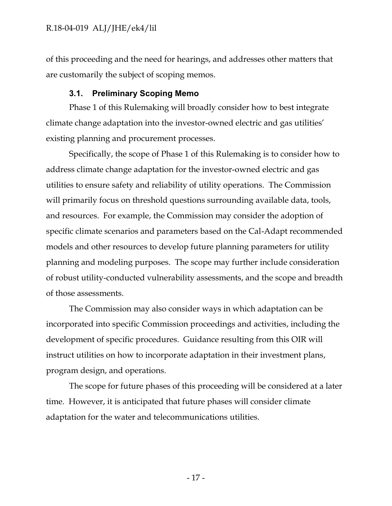of this proceeding and the need for hearings, and addresses other matters that are customarily the subject of scoping memos.

#### **3.1. Preliminary Scoping Memo**

<span id="page-17-0"></span>Phase 1 of this Rulemaking will broadly consider how to best integrate climate change adaptation into the investor-owned electric and gas utilities' existing planning and procurement processes.

Specifically, the scope of Phase 1 of this Rulemaking is to consider how to address climate change adaptation for the investor-owned electric and gas utilities to ensure safety and reliability of utility operations. The Commission will primarily focus on threshold questions surrounding available data, tools, and resources. For example, the Commission may consider the adoption of specific climate scenarios and parameters based on the Cal-Adapt recommended models and other resources to develop future planning parameters for utility planning and modeling purposes. The scope may further include consideration of robust utility-conducted vulnerability assessments, and the scope and breadth of those assessments.

The Commission may also consider ways in which adaptation can be incorporated into specific Commission proceedings and activities, including the development of specific procedures. Guidance resulting from this OIR will instruct utilities on how to incorporate adaptation in their investment plans, program design, and operations.

The scope for future phases of this proceeding will be considered at a later time. However, it is anticipated that future phases will consider climate adaptation for the water and telecommunications utilities.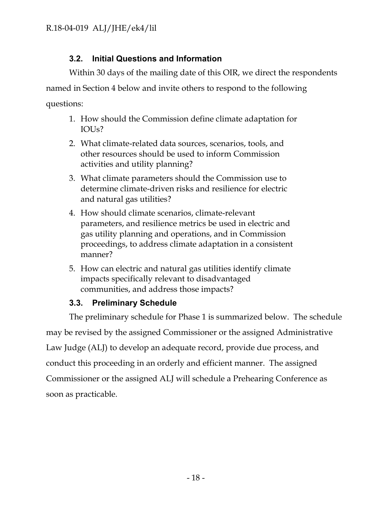## **3.2. Initial Questions and Information**

<span id="page-18-0"></span>Within 30 days of the mailing date of this OIR, we direct the respondents named in Section 4 below and invite others to respond to the following questions:

- 1. How should the Commission define climate adaptation for IOUs?
- 2. What climate-related data sources, scenarios, tools, and other resources should be used to inform Commission activities and utility planning?
- 3. What climate parameters should the Commission use to determine climate-driven risks and resilience for electric and natural gas utilities?
- 4. How should climate scenarios, climate-relevant parameters, and resilience metrics be used in electric and gas utility planning and operations, and in Commission proceedings, to address climate adaptation in a consistent manner?
- 5. How can electric and natural gas utilities identify climate impacts specifically relevant to disadvantaged communities, and address those impacts?

## **3.3. Preliminary Schedule**

<span id="page-18-1"></span>The preliminary schedule for Phase 1 is summarized below. The schedule may be revised by the assigned Commissioner or the assigned Administrative Law Judge (ALJ) to develop an adequate record, provide due process, and conduct this proceeding in an orderly and efficient manner. The assigned Commissioner or the assigned ALJ will schedule a Prehearing Conference as soon as practicable.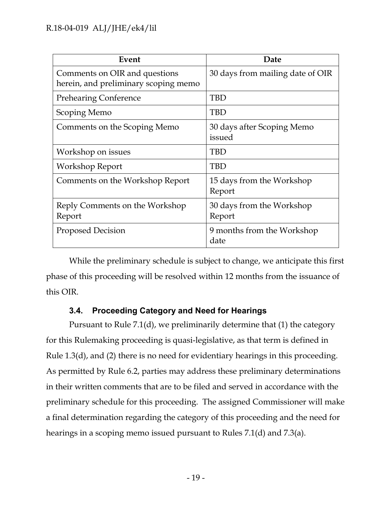| Event                                                                 | Date                                 |
|-----------------------------------------------------------------------|--------------------------------------|
| Comments on OIR and questions<br>herein, and preliminary scoping memo | 30 days from mailing date of OIR     |
| <b>Prehearing Conference</b>                                          | <b>TBD</b>                           |
| Scoping Memo                                                          | <b>TBD</b>                           |
| Comments on the Scoping Memo                                          | 30 days after Scoping Memo<br>issued |
| Workshop on issues                                                    | <b>TBD</b>                           |
| Workshop Report                                                       | <b>TBD</b>                           |
| Comments on the Workshop Report                                       | 15 days from the Workshop<br>Report  |
| Reply Comments on the Workshop<br>Report                              | 30 days from the Workshop<br>Report  |
| <b>Proposed Decision</b>                                              | 9 months from the Workshop<br>date   |

While the preliminary schedule is subject to change, we anticipate this first phase of this proceeding will be resolved within 12 months from the issuance of this OIR.

## **3.4. Proceeding Category and Need for Hearings**

<span id="page-19-0"></span>Pursuant to Rule 7.1(d), we preliminarily determine that (1) the category for this Rulemaking proceeding is quasi-legislative, as that term is defined in Rule 1.3(d), and (2) there is no need for evidentiary hearings in this proceeding. As permitted by Rule 6.2, parties may address these preliminary determinations in their written comments that are to be filed and served in accordance with the preliminary schedule for this proceeding. The assigned Commissioner will make a final determination regarding the category of this proceeding and the need for hearings in a scoping memo issued pursuant to Rules 7.1(d) and 7.3(a).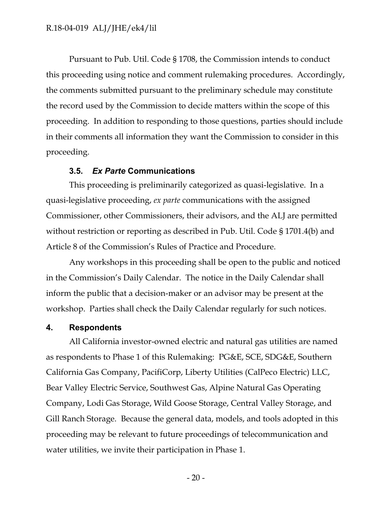Pursuant to Pub. Util. Code § 1708, the Commission intends to conduct this proceeding using notice and comment rulemaking procedures. Accordingly, the comments submitted pursuant to the preliminary schedule may constitute the record used by the Commission to decide matters within the scope of this proceeding. In addition to responding to those questions, parties should include in their comments all information they want the Commission to consider in this proceeding.

#### **3.5.** *Ex Parte* **Communications**

<span id="page-20-0"></span>This proceeding is preliminarily categorized as quasi-legislative. In a quasi-legislative proceeding, *ex parte* communications with the assigned Commissioner, other Commissioners, their advisors, and the ALJ are permitted without restriction or reporting as described in Pub. Util. Code § 1701.4(b) and Article 8 of the Commission's Rules of Practice and Procedure.

Any workshops in this proceeding shall be open to the public and noticed in the Commission's Daily Calendar. The notice in the Daily Calendar shall inform the public that a decision-maker or an advisor may be present at the workshop. Parties shall check the Daily Calendar regularly for such notices.

#### <span id="page-20-1"></span>**4. Respondents**

All California investor-owned electric and natural gas utilities are named as respondents to Phase 1 of this Rulemaking: PG&E, SCE, SDG&E, Southern California Gas Company, PacifiCorp, Liberty Utilities (CalPeco Electric) LLC, Bear Valley Electric Service, Southwest Gas, Alpine Natural Gas Operating Company, Lodi Gas Storage, Wild Goose Storage, Central Valley Storage, and Gill Ranch Storage. Because the general data, models, and tools adopted in this proceeding may be relevant to future proceedings of telecommunication and water utilities, we invite their participation in Phase 1.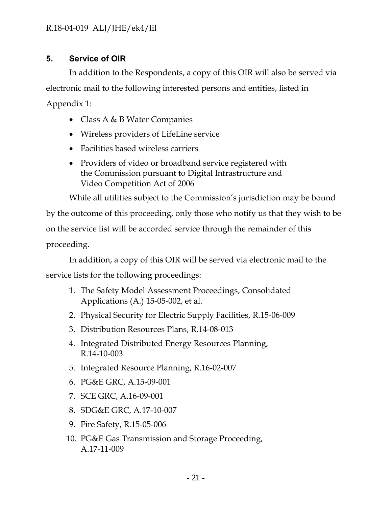## <span id="page-21-0"></span>**5. Service of OIR**

In addition to the Respondents, a copy of this OIR will also be served via electronic mail to the following interested persons and entities, listed in Appendix 1:

- Class A & B Water Companies
- Wireless providers of LifeLine service
- Facilities based wireless carriers
- Providers of video or broadband service registered with the Commission pursuant to Digital Infrastructure and Video Competition Act of 2006

While all utilities subject to the Commission's jurisdiction may be bound

by the outcome of this proceeding, only those who notify us that they wish to be on the service list will be accorded service through the remainder of this proceeding.

In addition, a copy of this OIR will be served via electronic mail to the

service lists for the following proceedings:

- 1. The Safety Model Assessment Proceedings, Consolidated Applications (A.) 15-05-002, et al.
- 2. Physical Security for Electric Supply Facilities, R.15-06-009
- 3. Distribution Resources Plans, R.14-08-013
- 4. Integrated Distributed Energy Resources Planning, R.14-10-003
- 5. Integrated Resource Planning, R.16-02-007
- 6. PG&E GRC, A.15-09-001
- 7. SCE GRC, A.16-09-001
- 8. SDG&E GRC, A.17-10-007
- 9. Fire Safety, R.15-05-006
- 10. PG&E Gas Transmission and Storage Proceeding, A.17-11-009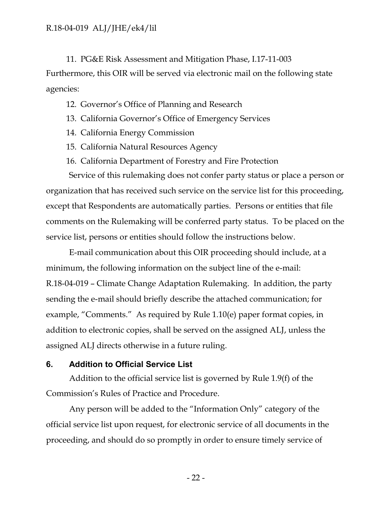11. PG&E Risk Assessment and Mitigation Phase, I.17-11-003 Furthermore, this OIR will be served via electronic mail on the following state agencies:

- 12. Governor's Office of Planning and Research
- 13. California Governor's Office of Emergency Services
- 14. California Energy Commission
- 15. California Natural Resources Agency
- 16. California Department of Forestry and Fire Protection

Service of this rulemaking does not confer party status or place a person or organization that has received such service on the service list for this proceeding, except that Respondents are automatically parties. Persons or entities that file comments on the Rulemaking will be conferred party status. To be placed on the service list, persons or entities should follow the instructions below.

E-mail communication about this OIR proceeding should include, at a minimum, the following information on the subject line of the e-mail: R.18-04-019 – Climate Change Adaptation Rulemaking. In addition, the party sending the e-mail should briefly describe the attached communication; for example, "Comments." As required by Rule 1.10(e) paper format copies, in addition to electronic copies, shall be served on the assigned ALJ, unless the assigned ALJ directs otherwise in a future ruling.

#### <span id="page-22-0"></span>**6. Addition to Official Service List**

Addition to the official service list is governed by Rule 1.9(f) of the Commission's Rules of Practice and Procedure.

Any person will be added to the "Information Only" category of the official service list upon request, for electronic service of all documents in the proceeding, and should do so promptly in order to ensure timely service of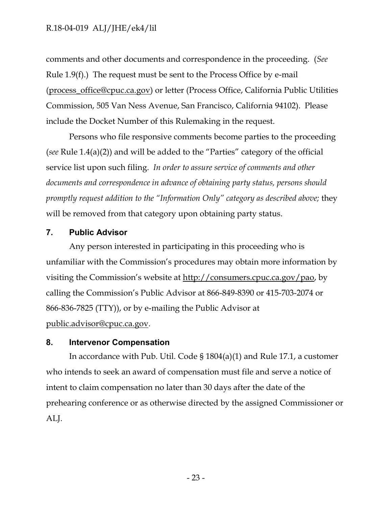comments and other documents and correspondence in the proceeding. (*See* Rule 1.9(f).) The request must be sent to the Process Office by e-mail [\(process\\_office@cpuc.ca.gov\)](mailto:process_office@cpuc.ca.gov) or letter (Process Office, California Public Utilities Commission, 505 Van Ness Avenue, San Francisco, California 94102). Please include the Docket Number of this Rulemaking in the request.

Persons who file responsive comments become parties to the proceeding (*see* Rule 1.4(a)(2)) and will be added to the "Parties" category of the official service list upon such filing. *In order to assure service of comments and other documents and correspondence in advance of obtaining party status, persons should promptly request addition to the "Information Only" category as described above;* they will be removed from that category upon obtaining party status.

### <span id="page-23-0"></span>**7. Public Advisor**

Any person interested in participating in this proceeding who is unfamiliar with the Commission's procedures may obtain more information by visiting the Commission's website at [http://consumers.cpuc.ca.gov/pao,](http://consumers.cpuc.ca.gov/pao) by calling the Commission's Public Advisor at 866-849-8390 or 415-703-2074 or 866-836-7825 (TTY)), or by e-mailing the Public Advisor at [public.advisor@cpuc.ca.gov.](mailto:public.advisor@cpuc.ca.gov)

#### <span id="page-23-1"></span>**8. Intervenor Compensation**

In accordance with Pub. Util. Code § 1804(a)(1) and Rule 17.1, a customer who intends to seek an award of compensation must file and serve a notice of intent to claim compensation no later than 30 days after the date of the prehearing conference or as otherwise directed by the assigned Commissioner or ALJ.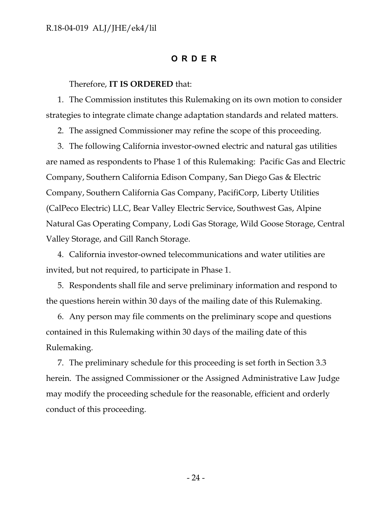### **ORDER**

#### Therefore, **IT IS ORDERED** that:

1. The Commission institutes this Rulemaking on its own motion to consider strategies to integrate climate change adaptation standards and related matters.

2. The assigned Commissioner may refine the scope of this proceeding.

3. The following California investor-owned electric and natural gas utilities are named as respondents to Phase 1 of this Rulemaking: Pacific Gas and Electric Company, Southern California Edison Company, San Diego Gas & Electric Company, Southern California Gas Company, PacifiCorp, Liberty Utilities (CalPeco Electric) LLC, Bear Valley Electric Service, Southwest Gas, Alpine Natural Gas Operating Company, Lodi Gas Storage, Wild Goose Storage, Central Valley Storage, and Gill Ranch Storage.

4. California investor-owned telecommunications and water utilities are invited, but not required, to participate in Phase 1.

5. Respondents shall file and serve preliminary information and respond to the questions herein within 30 days of the mailing date of this Rulemaking.

6. Any person may file comments on the preliminary scope and questions contained in this Rulemaking within 30 days of the mailing date of this Rulemaking.

7. The preliminary schedule for this proceeding is set forth in Section 3.3 herein. The assigned Commissioner or the Assigned Administrative Law Judge may modify the proceeding schedule for the reasonable, efficient and orderly conduct of this proceeding.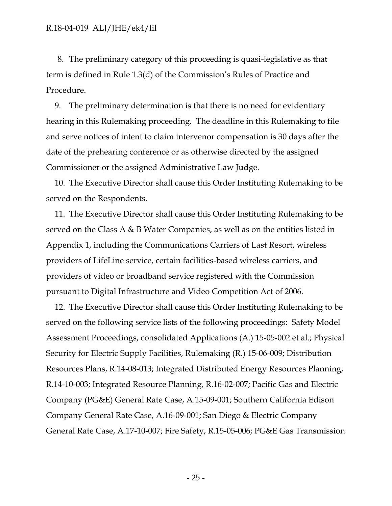8. The preliminary category of this proceeding is quasi-legislative as that term is defined in Rule 1.3(d) of the Commission's Rules of Practice and Procedure.

9. The preliminary determination is that there is no need for evidentiary hearing in this Rulemaking proceeding. The deadline in this Rulemaking to file and serve notices of intent to claim intervenor compensation is 30 days after the date of the prehearing conference or as otherwise directed by the assigned Commissioner or the assigned Administrative Law Judge.

10. The Executive Director shall cause this Order Instituting Rulemaking to be served on the Respondents.

11. The Executive Director shall cause this Order Instituting Rulemaking to be served on the Class A & B Water Companies, as well as on the entities listed in Appendix 1, including the Communications Carriers of Last Resort, wireless providers of LifeLine service, certain facilities-based wireless carriers, and providers of video or broadband service registered with the Commission pursuant to Digital Infrastructure and Video Competition Act of 2006.

12. The Executive Director shall cause this Order Instituting Rulemaking to be served on the following service lists of the following proceedings: Safety Model Assessment Proceedings, consolidated Applications (A.) 15-05-002 et al.; Physical Security for Electric Supply Facilities, Rulemaking (R.) 15-06-009; Distribution Resources Plans, R.14-08-013; Integrated Distributed Energy Resources Planning, R.14-10-003; Integrated Resource Planning, R.16-02-007; Pacific Gas and Electric Company (PG&E) General Rate Case, A.15-09-001; Southern California Edison Company General Rate Case, A.16-09-001; San Diego & Electric Company General Rate Case, A.17-10-007; Fire Safety, R.15-05-006; PG&E Gas Transmission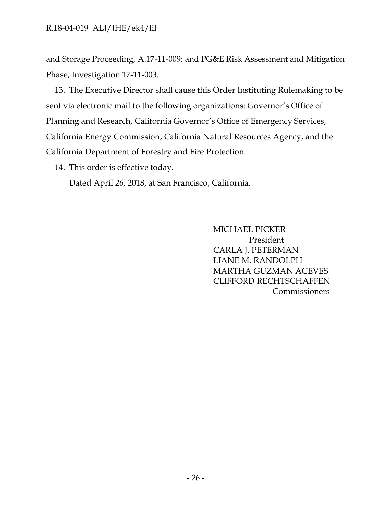and Storage Proceeding, A.17-11-009; and PG&E Risk Assessment and Mitigation Phase, Investigation 17-11-003.

13. The Executive Director shall cause this Order Instituting Rulemaking to be sent via electronic mail to the following organizations: Governor's Office of Planning and Research, California Governor's Office of Emergency Services, California Energy Commission, California Natural Resources Agency, and the California Department of Forestry and Fire Protection.

14. This order is effective today.

Dated April 26, 2018, at San Francisco, California.

MICHAEL PICKER President CARLA J. PETERMAN LIANE M. RANDOLPH MARTHA GUZMAN ACEVES CLIFFORD RECHTSCHAFFEN Commissioners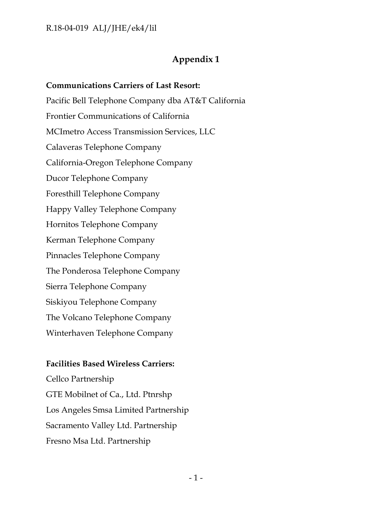## **Appendix 1**

**Communications Carriers of Last Resort:** Pacific Bell Telephone Company dba AT&T California Frontier Communications of California MCImetro Access Transmission Services, LLC Calaveras Telephone Company California-Oregon Telephone Company Ducor Telephone Company Foresthill Telephone Company Happy Valley Telephone Company Hornitos Telephone Company Kerman Telephone Company Pinnacles Telephone Company The Ponderosa Telephone Company Sierra Telephone Company Siskiyou Telephone Company The Volcano Telephone Company Winterhaven Telephone Company

### **Facilities Based Wireless Carriers:**

Cellco Partnership GTE Mobilnet of Ca., Ltd. Ptnrshp Los Angeles Smsa Limited Partnership Sacramento Valley Ltd. Partnership Fresno Msa Ltd. Partnership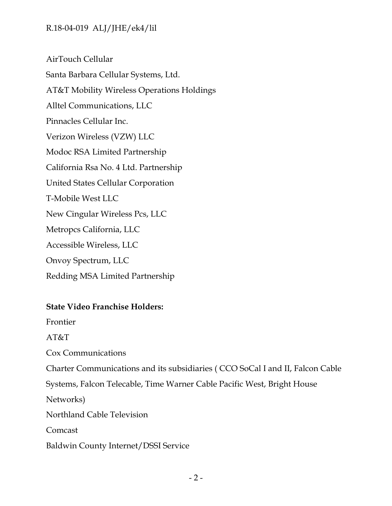AirTouch Cellular Santa Barbara Cellular Systems, Ltd. AT&T Mobility Wireless Operations Holdings Alltel Communications, LLC Pinnacles Cellular Inc. Verizon Wireless (VZW) LLC Modoc RSA Limited Partnership California Rsa No. 4 Ltd. Partnership United States Cellular Corporation T-Mobile West LLC New Cingular Wireless Pcs, LLC Metropcs California, LLC Accessible Wireless, LLC Onvoy Spectrum, LLC Redding MSA Limited Partnership

## **State Video Franchise Holders:**

Frontier

AT&T

Cox Communications

Charter Communications and its subsidiaries ( CCO SoCal I and II, Falcon Cable

Systems, Falcon Telecable, Time Warner Cable Pacific West, Bright House

Networks)

Northland Cable Television

Comcast

Baldwin County Internet/DSSI Service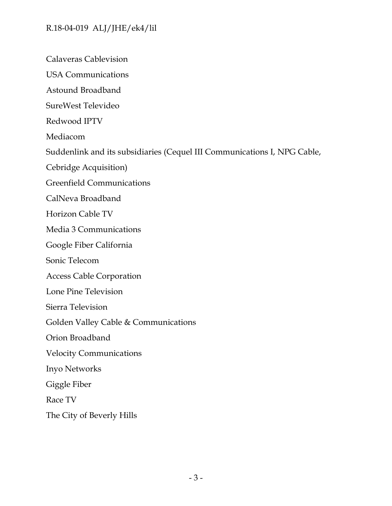Calaveras Cablevision

USA Communications

Astound Broadband

SureWest Televideo

Redwood IPTV

Mediacom

Suddenlink and its subsidiaries (Cequel III Communications I, NPG Cable,

Cebridge Acquisition)

Greenfield Communications

CalNeva Broadband

Horizon Cable TV

Media 3 Communications

Google Fiber California

Sonic Telecom

Access Cable Corporation

Lone Pine Television

Sierra Television

Golden Valley Cable & Communications

Orion Broadband

Velocity Communications

Inyo Networks

Giggle Fiber

Race TV

The City of Beverly Hills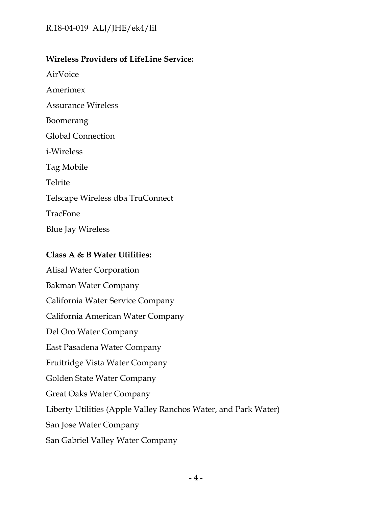## **Wireless Providers of LifeLine Service:**

AirVoice

Amerimex

Assurance Wireless

Boomerang

Global Connection

i-Wireless

Tag Mobile

Telrite

Telscape Wireless dba TruConnect

TracFone

Blue Jay Wireless

## **Class A & B Water Utilities:**

Alisal Water Corporation Bakman Water Company California Water Service Company California American Water Company Del Oro Water Company East Pasadena Water Company Fruitridge Vista Water Company Golden State Water Company Great Oaks Water Company Liberty Utilities (Apple Valley Ranchos Water, and Park Water) San Jose Water Company San Gabriel Valley Water Company